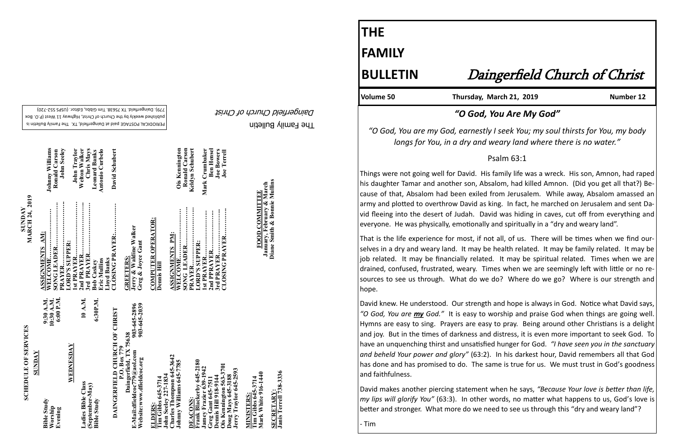#### The Family Bulletin Daingerfield Church of Christ

# **SCHEDULE OF SERVICES SCHEDULE OF SERVICES**

PERIODICAL POSTAGE paid at Daingerfield, TX. The Family Bulletin is published weekly by the Church of Christ, Highway 11 West (P.O. Box 720) - 779). Daingerfield. TX 75638. Tim Gibbs, Editor. (USPS 552

**SUNDAY<br>MARCH 24, 2019 MARCH 24, 2019** 

|               | <b>Johnny Williams</b><br>John Seeley<br>Ronald Carson<br> | John Traylor                 | Chris Mays<br><b>Welton Walker</b><br>3rd PRAYER | Antonio Curbelo<br><b>Leonard Banks</b> | David Schubert<br>CLOSING PRAYER: |                                                                                                        |                                                 | <b>Ronald Carson</b><br><b>Ois Kennington</b><br>SONG LEADER                         | Keldyn Schubert                      | Mark Crumbaker<br><b>Ben Hensel</b><br>2nd PPRAYER                   | <b>Joe Bowers</b><br><b>Joe Terrell</b><br>CLOSING PRAYER               | January, February & March<br>FOOD COMMITTEE             | Diane Smith & Bonnie Mullins               |
|---------------|------------------------------------------------------------|------------------------------|--------------------------------------------------|-----------------------------------------|-----------------------------------|--------------------------------------------------------------------------------------------------------|-------------------------------------------------|--------------------------------------------------------------------------------------|--------------------------------------|----------------------------------------------------------------------|-------------------------------------------------------------------------|---------------------------------------------------------|--------------------------------------------|
|               | ASSIGNMENTS AM:<br>PRAYER<br>WELCOME                       | LORD'S SUPPER:<br>Ist PRAYER |                                                  | Eric Mullins<br><b>Bob Caskev</b>       | <b>Lloyd Banks</b>                | Jerry & Waldine Walker<br>Greg & Joyce Gant<br><b>GREETERS:</b>                                        | <b>COMPUTER OPERATOR:</b><br><b>Dennis Hill</b> | <b>ASSIGNMENTS PM:</b><br>WELCOME                                                    | PRAYER                               | LORD'S SUPPER:                                                       | 3rd PRAYER                                                              |                                                         |                                            |
|               | 6:00 P.M.<br>9:30 A.M.<br>10:30 A.M.                       |                              | 10 A.M.                                          | 6:30P.M.                                |                                   | 903-645-2039<br>903-645-2896                                                                           |                                                 |                                                                                      |                                      |                                                                      |                                                                         |                                                         |                                            |
| <b>SUNDAY</b> | <b>Bible Study</b><br>Worship<br>Evening                   | WEDNESDAY                    | Ladies Bible Class                               | (September-May)<br><b>Bible Study</b>   | DAINGERFIELD CHURCH OF CHRIST     | Daingerfield, TX 75638<br>P.O. Box 779<br>E-Mail:dfieldcoc779 $@$ aol.com<br>Website:www.dfieldcoc.org | Tim Gibbs 645-3714<br>ELDERS:                   | Charles Thompson 645-3642<br>Johnny Williams 645-7785<br><b>John Seeley 227-1834</b> | Frank Blackerby 645-2180<br>DEACONS: | Jamey Frazier 639-1942<br>Greg Gant 645-7511<br>Dennis Hill 918-9144 | Ois Kennington 563-3701<br>Jerry Traylor 645-2593<br>Doug Mays 645-3188 | Mark White 916-1440<br>Tim Gibbs 645-3714<br>MINISTERS: | Janis Terrell 738-3336<br><b>SECRETARY</b> |

## **THE FAMILY**

Volume 50 Thursday, March 21, 2019

## **BULLETIN** Daingerfield Church of Christ

### *"O God, You Are My God"*

*"O God, You are my God, earnestly I seek You; my soul thirsts for You, my body longs for You, in a dry and weary land where there is no water."* 

Psalm 63:1

Things were not going well for David. His family life was a wreck. His son, Amnon, had raped his daughter Tamar and another son, Absalom, had killed Amnon. (Did you get all that?) Because of that, Absalom had been exiled from Jerusalem. While away, Absalom amassed an army and plotted to overthrow David as king. In fact, he marched on Jerusalem and sent David fleeing into the desert of Judah. David was hiding in caves, cut off from everything and everyone. He was physically, emotionally and spiritually in a "dry and weary land".

That is the life experience for most, if not all, of us. There will be times when we find ourselves in a dry and weary land. It may be health related. It may be family related. It may be job related. It may be financially related. It may be spiritual related. Times when we are drained, confused, frustrated, weary. Times when we are seemingly left with little or no resources to see us through. What do we do? Where do we go? Where is our strength and hope.

David knew. He understood. Our strength and hope is always in God. Notice what David says, *"O God, You are my God."* It is easy to worship and praise God when things are going well. Hymns are easy to sing. Prayers are easy to pray. Being around other Christians is a delight and joy. But in the times of darkness and distress, it is even more important to seek God. To have an unquenching thirst and unsatisfied hunger for God. *"I have seen you in the sanctuary and beheld Your power and glory"* (63:2). In his darkest hour, David remembers all that God has done and has promised to do. The same is true for us. We must trust in God's goodness and faithfulness.

David makes another piercing statement when he says, *"Because Your love is better than life, my lips will glorify You"* (63:3). In other words, no matter what happens to us, God's love is better and stronger. What more do we need to see us through this "dry and weary land"?

- Tim